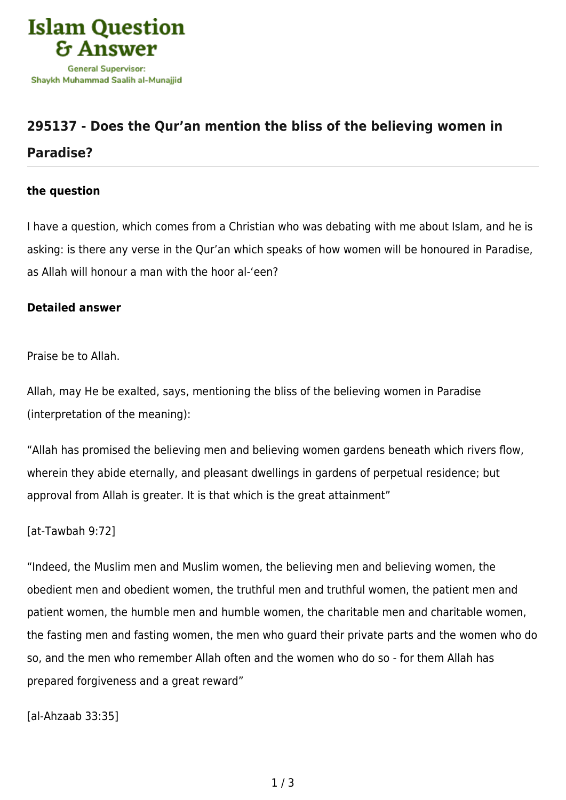

# **[295137 - Does the Qur'an mention the bliss of the believing women in](https://islamqa.com/en/answers/295137/does-the-quran-mention-the-bliss-of-the-believing-women-in-paradise)**

# **[Paradise?](https://islamqa.com/en/answers/295137/does-the-quran-mention-the-bliss-of-the-believing-women-in-paradise)**

# **the question**

I have a question, which comes from a Christian who was debating with me about Islam, and he is asking: is there any verse in the Qur'an which speaks of how women will be honoured in Paradise, as Allah will honour a man with the hoor al-'een?

# **Detailed answer**

Praise be to Allah.

Allah, may He be exalted, says, mentioning the bliss of the believing women in Paradise (interpretation of the meaning):

"Allah has promised the believing men and believing women gardens beneath which rivers flow, wherein they abide eternally, and pleasant dwellings in gardens of perpetual residence; but approval from Allah is greater. It is that which is the great attainment"

[at-Tawbah 9:72]

"Indeed, the Muslim men and Muslim women, the believing men and believing women, the obedient men and obedient women, the truthful men and truthful women, the patient men and patient women, the humble men and humble women, the charitable men and charitable women, the fasting men and fasting women, the men who guard their private parts and the women who do so, and the men who remember Allah often and the women who do so - for them Allah has prepared forgiveness and a great reward"

[al-Ahzaab 33:35]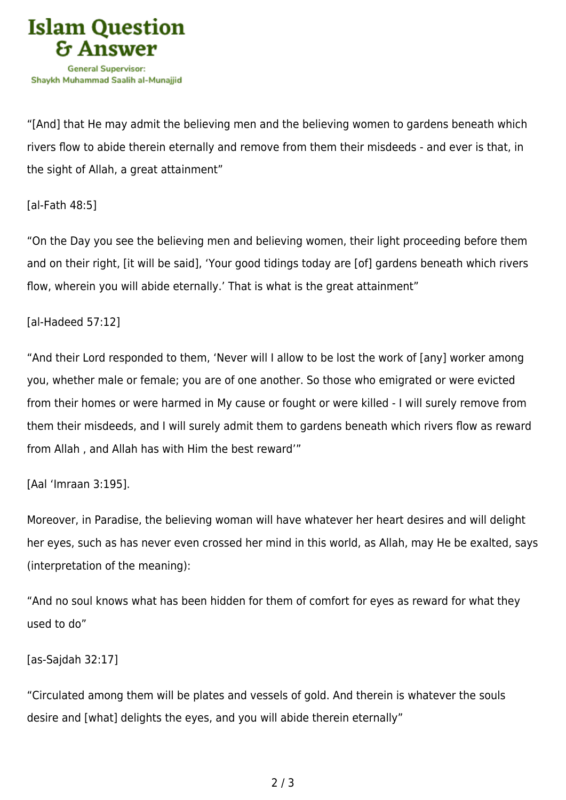

"[And] that He may admit the believing men and the believing women to gardens beneath which rivers flow to abide therein eternally and remove from them their misdeeds - and ever is that, in the sight of Allah, a great attainment"

[al-Fath 48:5]

"On the Day you see the believing men and believing women, their light proceeding before them and on their right, [it will be said], 'Your good tidings today are [of] gardens beneath which rivers flow, wherein you will abide eternally.' That is what is the great attainment"

### [al-Hadeed 57:12]

"And their Lord responded to them, 'Never will I allow to be lost the work of [any] worker among you, whether male or female; you are of one another. So those who emigrated or were evicted from their homes or were harmed in My cause or fought or were killed - I will surely remove from them their misdeeds, and I will surely admit them to gardens beneath which rivers flow as reward from Allah , and Allah has with Him the best reward'"

#### [Aal 'Imraan 3:195].

Moreover, in Paradise, the believing woman will have whatever her heart desires and will delight her eyes, such as has never even crossed her mind in this world, as Allah, may He be exalted, says (interpretation of the meaning):

"And no soul knows what has been hidden for them of comfort for eyes as reward for what they used to do"

#### [as-Sajdah 32:17]

"Circulated among them will be plates and vessels of gold. And therein is whatever the souls desire and [what] delights the eyes, and you will abide therein eternally"